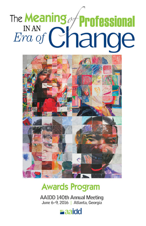# The Meaning of **Professional** IN AN Change  $Era$  of



# **Awards Program**

**AAIDD 140th Annual Meeting** June 6-9, 2016 | Atlanta, Georgia

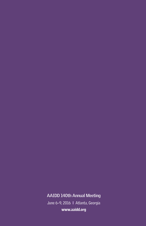### **AAIDD 140th Annual Meeting**

June 6-9, 2016 | Atlanta, Georgia www.aaidd.org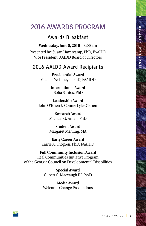### **2016 AWARDS PROGRAM**

### **Awards Breakfast**

#### **Wednesday, June 8, 2016—8:00 am**

Presented by: Susan Havercamp, PhD, FAAIDD Vice President, AAIDD Board of Directors

### **2016 AAIDD Award Recipients**

**Presidential Award** Michael Wehmeyer, PhD, FAAIDD

> **International Award** Sofia Santos, PhD

**Leadership Award** John O'Brien & Connie Lyle O'Brien

> **Research Award** Michael G. Aman, PhD

> **Student Award** Margaret Mehling, MA

**Early Career Award** Karrie A. Shogren, PhD, FAAIDD

#### **Full Community Inclusion Award**

Real Communities Initiative Program of the Georgia Council on Developmental Disabilities

> **Special Award** Gilbert S. Macvaugh III, PsyD

**Media Award** Welcome Change Productions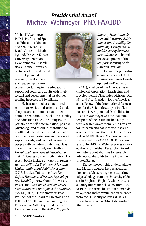## *Presidential Award* **Michael Wehmeyer, PhD, FAAIDD**

Michael L. Wehmeyer, PhD, is Professor of Special Education; Director and Senior Scientist, Beach Center on Disability; and, Director, Kansas University Center on Developmental Disabilities, all at the University of Kansas. He has directed externally-funded research, development, and leadership training



projects pertaining to the education and support of youth and adults with intellectual and developmental disabilities totaling in excess of \$30 million.

He has authored or co-authored more than 300 journal articles and book chapters and authored, co-authored, edited, or co-edited 32 books on disability and education issues, including issues pertaining to self-determination, positive psychology and disability, transition to adulthood, the education and inclusion of students with extensive and pervasive support needs, and technology use by people with cognitive disabilities. He is co-author of the widely used textbook *Exceptional Lives: Special Education in Today's Schools* now in its 8th Edition. His recent books include *The Story of Intellectual Disability: An Evolution of Meaning, Understanding, and Public Perception* (2013, Brookes Publishing Co.); *The Oxford Handbook of Positive Psychology and Disability* (2013, Oxford University Press), and *Good Blood, Bad Blood: Science, Nature and the Myth of the Kallikaks* (AAIDD, 2012). Dr. Wehmeyer is Past-President of the Board of Directors and a Fellow of AAIDD, and is a founding Co-Editor of the AAIDD ejournal Inclusion. He is a co-author of the *AAIDD Supports* 

*Intensity Scale-Adult Version* and the *2010 AAIDD Intellectual Disability Terminology, Classification, and Systems of Supports Manual*, and co-chaired the development of the *Supports Intensity Scale-Children's Version*.

Dr. Wehmeyer is also a past president of CEC's Division on Career Development and Transition

(DCDT); a Fellow of the American Psychological Association, Intellectual and Developmental Disabilities Division (Div. 33); and Vice-President for the Americas and a Fellow of the International Association for the Scientific Study of Intellectual and Developmental Disabilities. In 1999, Dr. Wehmeyer was the inaugural recipient of the Distinguished Early Career Research Award from CEC's Division for Research and has received research awards from two other CEC Divisions, as well as AAIDD Region V, among others. He received the 2003 AAIDD Education award. In 2013, Dr. Wehmeyer was awarded the Distinguished Researcher Award for lifetime contributions to research in intellectual disability by The Arc of the United States.

Dr. Wehmeyer holds undergraduate and Master's degrees in special education, and a Masters degree in experimental psychology from the University of Sussex in Brighton, England, where he was a Rotary International Fellow from 1987 to 1988. He earned his PhD in human development and communication sciences from the University of Texas at Dallas, where he received a 2014 Distinguished Alumni Award.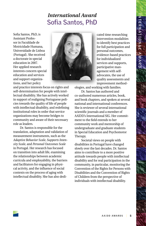### *International Award* **Sofia Santos, PhD**

Sofia Santos, PhD, is Assistant Professor in Faculdade de Motricidade Humana, Universidade de Lisboa (Portugal). She received a doctorate in special education in 2007. Her applied research interests concern special education and services and support organizations, and her policy

and practice interests focus on rights and self-determination for people with intellectual disability. She has actively worked in support of realigning Portuguese policies towards the quality of life of people with intellectual disability, and redefining institutional roles in order that service organizations may become bridges to community and aware of their necessary role as leaders.

Dr. Santos is responsible for the translation, adaptation and validation of measurement instruments, such as the *Adaptive Behavior Scale*, *Supports Intensity Scale*, and *Personal Outcomes Scale* in Portugal. Her research has focused on transition into adult life, examining the relationships between academic curricula and employability, the barriers and facilitators for engaging in physical activity, and the influence of social contexts on the process of aging with intellectual disability. She has also dedi-



cated time researching intervention modalities to identify best practices for full participation and personal outcomes, evidence-based practices for individualized services and supports, participative management with selfadvocates, the use of quality assessments and improvement method-

ologies, and working with families.

Dr. Santos has authored and co-authored numerous articles, book, and book chapters, and spoken at several national and international conferences. She is reviewer of several international scientific journals and a member of AAIDD's International SIG. Her commitment to the field extends to her community work and mentorship of undergraduate and graduate students in Special Education and Psychomotor Therapy.

Societal views on people with disabilities in Portugal have changed slowly over the last decades. Dr. Santos aims to contribute to a more positive attitude towards people with intellectual disability and for real participation in the community, in particular, monitoring the Convention of the Rights for Persons with Disabilities and the Convention of Rights of Children from the perspective of individuals with intellectual disability.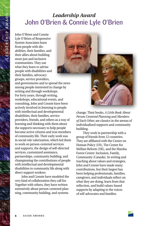## *Leadership Award* **John O'Brien & Connie Lyle O'Brien**

John O'Brien and Connie Lyle O'Brien of Responsive System Associates learn from people with disabilities, their families, and their allies about building more just and inclusive communities. They use what they learn to advise people with disabilities and their families, advocacy groups, service providers,



and governments and to spread the news among people interested in change by writing and through workshops. For forty years, through writing, workshops, educational events, and consulting, John and Connie have been actively involved in listening to people with intellectual and developmental disabilities, their families, service providers, friends, and others as a way of learning and thinking with them about the supports necessary to help people become active citizens and true members of community life. Their early work was in social role valorization, which led them to work on person-centered services and supports, the design of self-directed services, customized assistance, partnerships, community building, and championing the contributions of people with intellectual and developmental disabilities to community life along with direct support workers.

John and Connie have modeled the very kind of collaboration they call for. Together with others, they have written extensively about person-centered planning, community building, and systems



change. Their books, *A Little Book About Person Centered Planning* and *Members of Each Other,* are classics in the arenas of individualized supports and community building.

They work in partnership with a group of friends from 12 countries. They are affiliated with the Center on Human Policy (US), The Center for Welfare Reform (UK), and the Marsha Forest Centre: Inclusion, Family, Community (Canada). In writing and teaching about values and strategies, John and Connie have made many contributions, but their largest has been helping professionals, families, caregivers, and individuals reflect on what they are doing, learn from that reflection, and build values-based supports by adapting to the voices of self-advocates and families.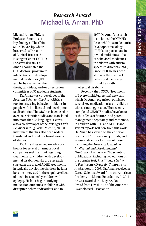### *Research Award* **Michael G. Aman, PhD**

Michael Aman, PhD, is Professor Emeritus of Psychology at The Ohio State University, where he served as Director of Clinical Trials at the Nisonger Center UCEDD. For several years, Dr. Aman coordinated the OSU doctoral program in intellectual and developmental disabilities (IDD), and he has served on the



1997 Dr. Aman's research team joined the NIMH's Research Units on Pediatric Psychopharmacology (RUPPs) to participate in pivotal multi-site studies of behavioral medicines in children with autism spectrum disorders (ASD). Since 1980, he has been studying the effects of behavioral medicines in children with

thesis, candidacy, and/or dissertation committees of 35 graduate students.

Dr. Aman was co-developer of the *Aberrant Behavior Checklist* (*ABC*), a tool for assessing behavior problems in people with intellectual and developmental disabilities. The ABC has been used in over 400 scientific studies and translated into more than 35 languages. He was also a co-developer of the *Nisonger Child Behavior Rating Form* (*NCBRF*), an IDD instrument that has also been widely translated and used in a broad variety of studies.

Dr. Aman has served on advisory boards for several pharmaceutical companies seeking input regarding treatments for children with developmental disabilities. His drug research started in the area of ADHD treatments in typically developing children; he later became interested in the cognitive effects of medicines taken by children with epilepsy. He later began studying medication outcomes in children with disruptive behavior disorders, and in

intellectual disability.

Recently, the TOSCA (Treatment of Severe Child Aggression) network, which Dr. Aman organized, published several key medication trials in children with serious aggression. The recentlycompleted CHARTS studies have looked at the effects of Strattera and parent management, separately and combined, in children with ASD and ADHD; and several reports will flow from this work. Dr. Aman has served on the editorial boards of 12 professional journals, and as associate editor for three of these, including the *American Journal on Intellectual and Developmental Disabilities*. He has over 290 scientific publications, including two editions of the popular text, *Practitioner's Guide to Psychoactive Drugs for Children and Adolescents*. In 2003, Dr. Aman received a Career Scientist Award from the American Academy on Mental Retardation. In 2011, he was awarded the Edgar A. Doll Award from Division 33 of the American Psychological Association.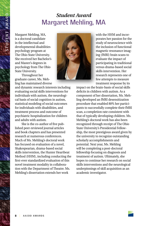## *Student Award* **Margaret Mehling, MA**

Margaret Mehling, MA, is a doctoral candidate in the intellectual and developmental disabilities psychology program at The Ohio State University. She received her Bachelor's and Master's degrees in psychology from The Ohio State University.

Throughout her graduate career, Ms. Mehling has maintained diverse

and dynamic research interests including evaluating social skills interventions for individuals with autism, the neurological basis of social cognition in autism, statistical modeling of social outcomes for individuals with disabilities, and treatment process and outcome of psychiatric hospitalization for children and adults with autism.

She is the co-author of five published peer-reviewed journal articles and book chapters and has presented research at numerous conferences. Much of Ms. Mehling's doctoral work has focused on evaluation of a novel, Shakespearian, drama-based social skills intervention, the Hunter Heartbeat Method (HHM), including conducting the first-ever standardized evaluation of this novel treatment modality in collaboration with the Department of Theatre. Ms. Mehling's dissertation extends her work



with the HHM and incorporates her passion for the study of neuroscience with the inclusion of functional magnetic resonance imaging (fMRI) brain scans to evaluate the impact of participating in traditional versus drama-based social skills intervention. Her research represents one of few attempts to measure treatment response by its

impact on the brain-basis of social skills deficits in children with autism. As a component of her dissertation, Ms. Mehling developed an fMRI desensitization procedure that enabled 80% her participants to successfully complete their fMRI scan, a completion rate consistent with that of typically developing children. Ms. Mehling's doctoral work has also been recognized through receipt of The Ohio State University's Presidential Fellowship, the most prestigious award given by the university to recognize outstanding scholarly accomplishments and potential. Next year, Ms. Mehling will be completing a post-doctoral fellowship focusing on diagnosis and treatment of autism. Ultimately, she hopes to continue her research on social skills interventions and the neurological underpinnings of skill acquisition as an academic investigator.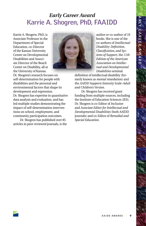### *Early Career Award* **Karrie A. Shogren, PhD, FAAIDD**

Karrie A. Shogren, PhD, is Associate Professor in the Department of Special Education, co-Director of the Kansas University Center on Developmental Disabilities and Associate Director of the Beach Center on Disability, all at the University of Kansas.



author or co-author of 10 books. She is one of the co-authors of *Intellectual Disability: Definition, Classification, and Systems of Support*, the *11th Edition of the American Association on Intellectual and Developmental Disabilities* seminal

definition of intellectual disability (formerly known as *mental retardation*) and the *AAIDD Supports Intensity Scale–Adult and Children's Version*.

Dr. Shogren has received grant funding from multiple sources, including the Institute of Education Sciences (IES). Dr. Shogren is co-Editor of *Inclusion* and *Associate Editor for Intellectual and Developmental Disabilities* (both AAIDD journals) and co-Editor of *Remedial and Special Education*.

Dr. Shogren's research focuses on self-determination for people with disabilities and the personal and environmental factors that shape its development and expression. Dr. Shogren has expertise in quantitative data analysis and evaluation, and has led multiple studies demonstrating the impact of self-determination interventions on school, employment, and community participation outcomes.

Dr. Shogren has published over 85 articles in peer-reviewed journals, is the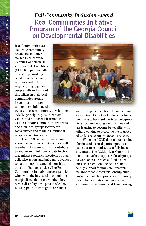### *Full Community Inclusion Award* **Real Communities Initiative Program of the Georgia Council on Developmental Disabilities**

Real Communities is a statewide community organizing initiative, started in 2009 by the Georgia Council on Developmental Disabilities (GCDD) to partner with local groups working to build more just communities and to find ways to bring together people with and without disabilities in their local communities around issues that are important to them. Influenced

by asset-based community development (ABCD) principles, person-centered values, and purposeful learning, the GCDD supports community organizers and their local groups to work for social justice and to build intentional, reciprocal relationships.

The GCDD strives to learn more about the conditions that encourage all members of a community to contribute to and meaningfully participate in civic life, enhance social connections through collective action, and build more avenues to natural supports and relationships outside of human services. The Real Communities initiative engages people who live at the intersection of multiple marginalized identities, whether they have a disability, are a person of color, LGBTQ, poor, an immigrant or refugee,



or have experienced homelessness or incarceration. GCDD and its local partners find ways to build solidarity and reciprocity across and among identity lines and are learning to become better allies with others working to overcome the injustice of social exclusion, whatever its causes.

While the GCDD does not determine the focus of its local partner groups, all partners are committed to a fully inclusive future. The GCDD's Real Communities initiative has supported local groups to work on issues such as food justice, mass incarceration, the death penalty, family support for immigrant parents, neighborhood-based relationship building and connection projects, community based transportation in a rural area, community gardening, and TimeBanking.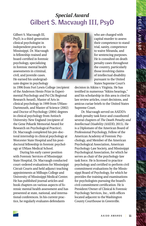### *Special Award* **Gilbert S. Macvaugh III, PsyD**

Gilbert S. Macvaugh III, PsyD, is a third-generation clinical psychologist in independent practice in Mississippi. Dr. Macvaugh is fellowship-trained and board-certified in forensic psychology, specializing in forensic mental health assessments in criminal, civil, and juvenile cases. He earned his undergraduate degree in psychology

in 1996 from Fort Lewis College (recipient of the Anderson Henio Prize in Experimental Psychology and Psi Chi Regional Research Award), Master of Arts in clinical psychology in 1999 from UMass-Dartmouth, and Master of Science (2002) and Doctor of Psychology (2004) degrees in clinical psychology from Antioch University-New England (recipient of the Gene Pekarik Memorial Award for Research on Psychological Practice). Dr. Macvaugh completed his pre-doctoral internship in clinical psychology at Worcester State Hospital and his postdoctoral fellowship in forensic psychology at UMass Medical School.

During his early career position with Forensic Services of Mississippi State Hospital, Dr. Macvaugh conducted court-ordered evaluations for Mississippi Circuit Courts and held adjunct teaching appointments at Millsaps College and University of Mississippi Medical Center. He has published journal articles and book chapters on various aspects of forensic mental health assessment and has presented at state, national, and international conferences. In his current practice, he regularly evaluates defendants



who are charged with capital murder to assess their competence to stand trial, sanity, competence to waive Miranda, and for sentencing purposes. He is consulted on death penalty cases throughout the country, particularly those involving claims of intellectual disability pursuant to the United States Supreme Court's

decision in Atkins v. Virginia. He has testified in numerous "Atkins hearings," and his scholarship in this area is cited in law review articles, court decisions, and amicus curiae briefs to the United States Supreme Court.

Dr. Macvaugh served on AAIDD's death penalty task force and coauthored several chapters of *The Death Penalty and Intellectual Disability* (AAIDD, 2015). He is a Diplomate of the American Board of Professional Psychology, Fellow of the American Academy of Forensic Psychology, and Member of the American Psychological Association, American Psychology-Law Society, and Mississippi Psychological Association, for which he serves as chair of the psychology-law task force. He is licensed to practice psychology and certified to perform civil commitment evaluations by the Mississippi Board of Psychology, for which he provides the training and examinations for psychologists pursuing the board's civil commitment certification. He is President/Owner of Clinical & Forensic Psychology Services, Inc., with offices located adjacent to the Washington County Courthouse in Greenville.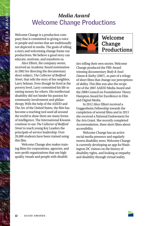### *Media Award* **Welcome Change Productions**

Welcome Change is a production company that is committed to giving a voice to people and stories that are traditionally not depicted in media. The goals of telling a story and welcoming change frame our productions. We believe a good story can educate, motivate, and transform us.

Alice Elliott, the company owner, received an Academy Award nomination in 2002 for directing the documentary short subject, T*he Collector of Bedford Street*, that tells the story of her neighbor, Larry Selman. Even though he lived at the poverty level, Larry committed his life to raising money for others. His intellectual disability did not hinder his passion for community involvement and philanthropy. With the help of the AAIDD and The Arc of the United States, the film has become a teaching tool used all around the world to show there are many forms of intelligence. The International Kiwanis continue to use *The Collector of Bedford Street* to teach young Key Leaders the principals of service leadership. Over 20,000 students have been trained using this film.

Welcome Change also makes training films for corporations, agencies, and non-profit organizations that use high quality visuals and people with disabili-



ties telling their own stories. Welcome Change produced the PBS-Award winning documentary *Body & Soul: Diana & Kathy* (2007), as part of a trilogy of short films that change our perceptions of ability. This film was also the recipient of the 2007 AAIDD Media Award and the 2008 Council on Foundations' Henry Hampton Award for Excellence in Film and Digital Media.

In 2012 Alice Elliott received a Guggenheim Fellowship towards the completion of several films and in 2013 she received a National Endowment for the Arts Grant. She recently completed *Accommodation*, three short films about accessibility.

Welcome Change has an active social media presence and regularly tweets disability news. Welcome Change is currently developing an app for Washington DC visitors on the history of disability rights, and looking at empathy and disability through virtual reality.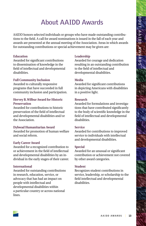# **About AAIDD Awards**

AAIDD honors selected individuals or groups who have made outstanding contributions to the field. A call for award nominations is issued in the fall of each year and awards are presented at the annual meeting of the Association. Areas in which awards for outstanding contributions or special achievement may be given are:

#### **Education**

Awarded for significant contributions to dissemination of knowledge in the field of intellectual and developmental disabilities.

#### **Full Community Inclusion**

Awarded to culturally responsive programs that have succeeded in full community inclusion and participation.

#### **Hervey B. Wilbur Award for Historic Preservation**

Awarded for contributions to historic preservation of the field of intellectual and developmental disabilities and/or the Association.

#### **Dybwad Humanitarian Award**

Awarded for promotion of human welfare and social reform.

#### **Early Career Award**

Awarded for a recognized contribution to or achievement in the field of intellectual and developmental disabilities by an individual in the early stages of their career.

#### **International**

Awarded for outstanding contributions in research, education, service, or advocacy that has had an impact on people with intellectual and developmental disabilities within a particular country or across national lines.

#### **Leadership**

Awarded for courage and dedication resulting in an outstanding contribution to the field of intellectual and developmental disabilities.

#### **Media**

Awarded for significant contributions in depicting Americans with disabilities in a positive light.

#### **Research**

Awarded for formulations and investigations that have contributed significantly to the body of scientific knowledge in the field of intellectual and developmental disabilities.

#### **Service**

Awarded for contributions to improved service to individuals with intellectual and developmental disabilities.

#### **Special**

Awarded for an unusual or significant contribution or achievement not covered by other award categories.

#### **Student**

Recognizes student contributions in service, leadership, or scholarship to the field intellectual and developmental disabilities.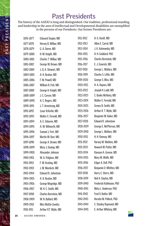# **Past Presidents**

The history of the AAIDD is long and distinguished. Our tradition, professional standing, and leadership in the area of intellectual and Developmental disabilities are exemplified in the persons of our Presidents. Our former Presidents are:

| 1876-1877 | Edouard Sequin, MD         | 1911-1912 | H. G. Hardt, MD         |
|-----------|----------------------------|-----------|-------------------------|
| 1877-1878 | Hervey B. Wilbur, MD       | 1912–1913 | Allan E. Carrol, MD     |
| 1878-1879 | G. A. Doren, MD            | 1913–1914 | J. K. Kutnewsky, MD     |
| 1879-1880 | H. M. Knight, MD           | 1914–1915 | H. H. Goddard, PhD      |
| 1880-1881 | Charles T. Wilbur, MD      | 1915-1916 | Charles Bernstein, MD   |
| 1881-1882 | George W. Brown, MD        | 1916–1917 | E. J. Emerick, MD       |
| 1882-1884 | J. Q. A. Stewart, MD       | 1917-1918 | George L. Wallace, MD   |
| 1884-1885 | A. H. Beaton, MD           | 1918-1919 | Charles S. Little, MD   |
| 1885-1886 | F. M. Powell, MD           | 1919-1920 | George S. Bliss, MD     |
| 1886-1887 | William B. Fish, MD        | 1920-1921 | H. A. Haynes, MD        |
| 1887-1888 | George H. Knight, MD       | 1921–1922 | Joseph H. Ladd, MD      |
| 1888-1889 | J. C. Carson, MD           | 1922-1923 | C. Banks McNairy, MD    |
| 1889-1890 | A. C. Rogers, MD           | 1923-1924 | Walter E. Fernald, MD   |
| 1890-1891 | J. T. Armstrong, MD        | 1924–1925 | Groves B. Smith, MD     |
| 1891-1892 | Isaac N.Kerlin, MD         | 1925-1926 | Arthur R. T. Wylie, MD  |
| 1892–1893 | Walter E. Fernald, MD      | 1926–1927 | Benjamin W. Baker, MD   |
| 1893-1894 | A. E. Osborne, MD          | 1927-1928 | Edward R. Johnstone     |
| 1894-1895 | A. W. Wilmarth, MD         | 1928-1929 | George E. McPherson, MD |
| 1895–1896 | Samuel J. Fort, MD         | 1929-1930 | George L. Wallace, MD   |
| 1896–1897 | Martin W. Barr, MD         | 1930–1931 | H. H. Ramsey, MD        |
| 1897-1898 | George A. Brown, MD        | 1931-1932 | Harvey M. Watkins, MD   |
| 1898-1899 | Mary J. Dunlap, MD         | 1932–1933 | Howard W. Potter, MD    |
| 1899-1900 | Alexander Johnson          | 1933-1934 | Ransom A. Greene, MD    |
| 1900-1901 | W. A. Polglase, MD         | 1934–1935 | Mary M. Wolfe, MD       |
| 1901-1902 | F. W. Keating, MD          | 1935–1936 | Edgar A. Doll, PhD      |
| 1902-1903 | J. M. Murdoch, MD          | 1936-1937 | Benjamin O. Whitten, MD |
| 1903-1904 | <b>Edward R. Johnstone</b> | 1937–1938 | Harry C. Storrs, MD     |
| 1904-1905 | A. H. Beaton, MD           | 1938–1939 | Neil A. Dayton, MD      |
| 1905–1906 | George Mogridge, MD        | 1939–1940 | Frederick Kuhlmann, PhD |
| 1906-1907 | W. H. C. Smith, MD         | 1940-1941 | Meta L. Anderson, PhD   |
| 1907-1908 | Charles Bernstein, MD      | 1941-1942 | Fred O. Butler, MD      |
| 1908-1909 | W. N. Bullard, MD          | 1942-1943 | Horatio M. Pollock, PhD |
| 1909-1910 | Miss Mattie Gundry         | 1943-1944 | C. Stanley Raymond, MD  |
| 1910-1911 | Arthur R.T. Wylie, MD      | 1944–1945 | E. Arthur Whitney, MD   |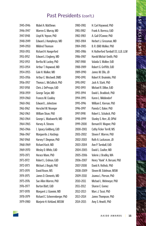### **Past Presidents (con't.)**

| 1945-1946 | Mabel A. Matthews              | 1980-1981 | H. Carl Haywood, PhD                 |
|-----------|--------------------------------|-----------|--------------------------------------|
| 1946–1947 | Warren G. Murray, MD           | 1981-1982 | Frank A. Borreca, EdD                |
| 1947–1948 | Lloyd N. Yepsen, PhD           | 1982–1983 | A. Gail O'Connor, PhD                |
| 1948–1949 | Edward J. Humphreys, MD        | 1983-1984 | Herbert J. Grossman, MD              |
| 1949-1950 | <b>Mildred Thomson</b>         | 1984-1985 | B. R. (Bill) Walker, PhD             |
| 1950–1951 | Richard H. Hungerford          | 1985–1986 | H. Rutherford Turnbull III, LLB, LLM |
| 1951-1952 | Edward J. Engberg, MD          | 1986–1987 | Harold Michal-Smith, PhD             |
| 1952-1953 | Bertha M. Luckey, PhD          | 1987-1988 | Valaida S. Walker, EdD               |
| 1953-1954 | Arthur T. Hopwood, MD          | 1988–1989 | Robert G. Griffith, EdD              |
| 1954-1955 | Gale H. Walker, MD             | 1989–1990 | James W. Ellis, JD                   |
| 1955-1956 | Arthur E. Westwell, DMD        | 1990-1991 | Robert R. Bruininks, PhD             |
| 1956-1957 | Thomas L. McCulloch, PhD       | 1991–1992 | Jack A. Stark, PhD                   |
| 1957-1958 | Chris J. DeProspo, EdD         | 1992-1993 | Michael R. Dillon, EdD               |
| 1958–1959 | George Tarjan, MD              | 1993-1994 | David L. Braddock, PhD               |
| 1959-1960 | Frances M. Coakley             | 1994-1995 | Karen L. Middendorf                  |
| 1960-1961 | Edward L. Johnstone            | 1995-1996 | William E. Kiernan, PhD              |
| 1961-1962 | Herschel W. Nisonger           | 1996–1997 | Pamela C. Baker, PhD                 |
| 1962-1963 | William Sloan, PhD             | 1997–1998 | Robert L. Schalock, PhD              |
| 1963-1964 | George L. Wadsworth, MD        | 1998–1999 | Stanley S. Herr, JD, DPhil           |
| 1964-1965 | Harvey A. Stevens              | 1999-2000 | Bernard R. Wagner, PhD               |
| 1965-1966 | I. Ignacy Goldberg, EdD        | 2000-2001 | Cathy Ficker Terrill, MS             |
| 1966-1967 | Marguerite J. Hastings         | 2001-2002 | Steven F. Warren, PhD                |
| 1967–1968 | Harvey F. Dingman, PhD         | 2002-2003 | Ruth A. Luckasson, JD                |
| 1968-1969 | Richard Koch, MD               | 2003-2004 | Ann P. Turnbull, EdD                 |
| 1969-1970 | Wesley D. White, EdD           | 2004-2005 | David L. Coulter, MD                 |
| 1970-1971 | Horace Mann, PhD               | 2005-2006 | Valerie J. Bradley, MA               |
| 1971-1972 | Robert L. Erdman, EdD          | 2006-2007 | Henry "Hank" A. Bersani, PhD         |
| 1972-1973 | Michael J. Begab, PhD          | 2007-2008 | David A. Rotholz, PhD                |
| 1973-1974 | David Rosen, MS                | 2008-2009 | Steven M. Eidelman, MSW              |
| 1974-1975 | James D. Clements, MD          | 2009-2010 | Joanna L. Pierson, PhD               |
| 1975-1976 | Sue Allen Warren, PhD          | 2010-2011 | Michael L. Wehmeyer, PhD             |
| 1976-1977 | Burton Blatt, EdD              | 2011-2012 | Sharon C. Gomez                      |
| 1977–1978 | Margaret J. Giannini, MD       | 2012-2013 | Marc J. Tassé, PhD                   |
| 1978–1979 | Richard C. Scheerenberger, PhD | 2013–2014 | James Thompson, PhD                  |
| 1979–1980 | Marjorie H. Kirkland, MSSW     | 2014-2015 | Amy S. Hewitt, PhD                   |